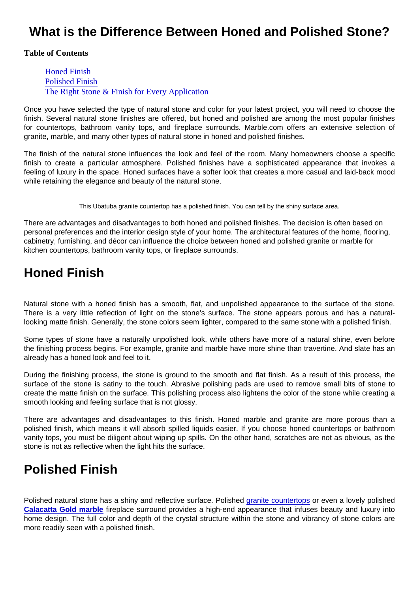## What is the Difference Between Honed and Polished Stone?

Table of Contents

Honed Finish Polished Finish [The Right Stone & Finish for Every Applicati](#page-1-0)on

Once you have selected the type of natural stone and color for your latest project, you will need to choose the finish. Several natural stone finishes are offered, but honed and polished are among the most popular finishes for countertops, bathroom vanity tops, and fireplace surrounds. Marble.com offers an extensive selection of granite, marble, and many other types of natural stone in honed and polished finishes.

The finish of the natural stone influences the look and feel of the room. Many homeowners choose a specific finish to create a particular atmosphere. Polished finishes have a sophisticated appearance that invokes a feeling of luxury in the space. Honed surfaces have a softer look that creates a more casual and laid-back mood while retaining the elegance and beauty of the natural stone.

This Ubatuba granite countertop has a polished finish. You can tell by the shiny surface area.

There are advantages and disadvantages to both honed and polished finishes. The decision is often based on personal preferences and the interior design style of your home. The architectural features of the home, flooring, cabinetry, furnishing, and décor can influence the choice between honed and polished granite or marble for kitchen countertops, bathroom vanity tops, or fireplace surrounds.

## Honed Finish

Natural stone with a honed finish has a smooth, flat, and unpolished appearance to the surface of the stone. There is a very little reflection of light on the stone's surface. The stone appears porous and has a naturallooking matte finish. Generally, the stone colors seem lighter, compared to the same stone with a polished finish.

Some types of stone have a naturally unpolished look, while others have more of a natural shine, even before the finishing process begins. For example, granite and marble have more shine than travertine. And slate has an already has a honed look and feel to it.

During the finishing process, the stone is ground to the smooth and flat finish. As a result of this process, the surface of the stone is satiny to the touch. Abrasive polishing pads are used to remove small bits of stone to create the matte finish on the surface. This polishing process also lightens the color of the stone while creating a smooth looking and feeling surface that is not glossy.

There are advantages and disadvantages to this finish. Honed marble and granite are more porous than a polished finish, which means it will absorb spilled liquids easier. If you choose honed countertops or bathroom vanity tops, you must be diligent about wiping up spills. On the other hand, scratches are not as obvious, as the stone is not as reflective when the light hits the surface.

## Polished Finish

Polished natural stone has a shiny and reflective surface. Polished [granite countertops](https://marble.com/granite-countertops) or even a lovely polished [Calacatta Gold marble](https://marble.com/marble-countertops/calacatta-gold/415) fireplace surround provides a high-end appearance that infuses beauty and luxury into home design. The full color and depth of the crystal structure within the stone and vibrancy of stone colors are more readily seen with a polished finish.